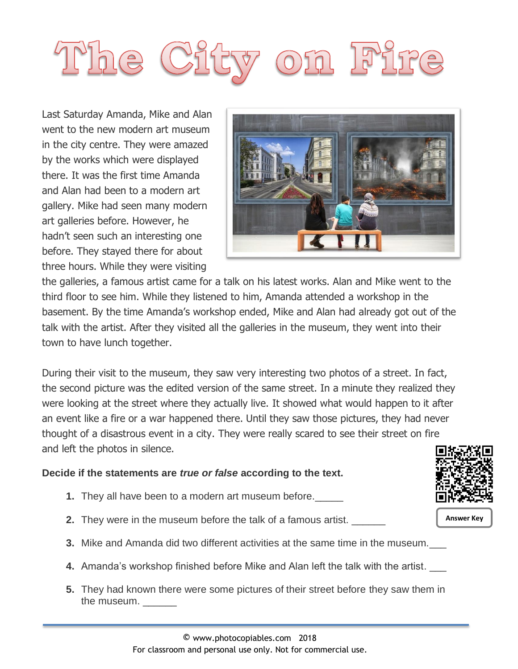# <sup>N</sup>he City on Fir

Last Saturday Amanda, Mike and Alan went to the new modern art museum in the city centre. They were amazed by the works which were displayed there. It was the first time Amanda and Alan had been to a modern art gallery. Mike had seen many modern art galleries before. However, he hadn't seen such an interesting one before. They stayed there for about three hours. While they were visiting



the galleries, a famous artist came for a talk on his latest works. Alan and Mike went to the third floor to see him. While they listened to him, Amanda attended a workshop in the basement. By the time Amanda's workshop ended, Mike and Alan had already got out of the talk with the artist. After they visited all the galleries in the museum, they went into their town to have lunch together.

During their visit to the museum, they saw very interesting two photos of a street. In fact, the second picture was the edited version of the same street. In a minute they realized they were looking at the street where they actually live. It showed what would happen to it after an event like a fire or a war happened there. Until they saw those pictures, they had never thought of a disastrous event in a city. They were really scared to see their street on fire and left the photos in silence.

### **Decide if the statements are** *true or false* **according to the text.**

- **1.** They all have been to a modern art museum before.\_\_\_\_\_
- **2.** They were in the museum before the talk of a famous artist. \_\_\_\_\_\_
- **3.** Mike and Amanda did two different activities at the same time in the museum.
- **4.** Amanda's workshop finished before Mike and Alan left the talk with the artist. \_\_\_
- **5.** They had known there were some pictures of their street before they saw them in the museum.



**Answer Key**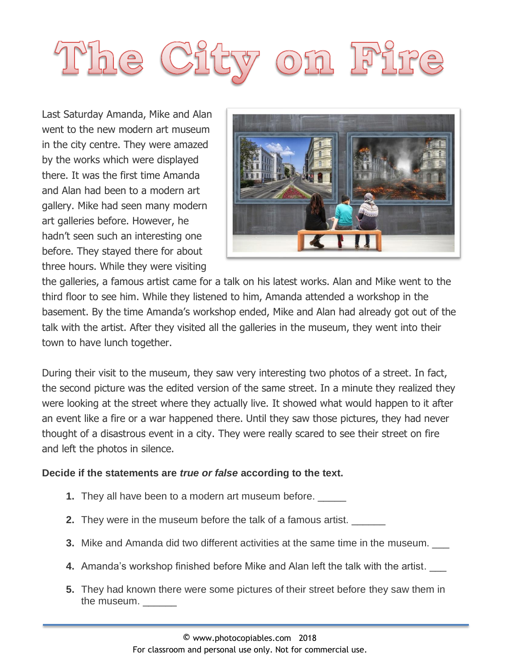# he City on Fir

Last Saturday Amanda, Mike and Alan went to the new modern art museum in the city centre. They were amazed by the works which were displayed there. It was the first time Amanda and Alan had been to a modern art gallery. Mike had seen many modern art galleries before. However, he hadn't seen such an interesting one before. They stayed there for about three hours. While they were visiting



the galleries, a famous artist came for a talk on his latest works. Alan and Mike went to the third floor to see him. While they listened to him, Amanda attended a workshop in the basement. By the time Amanda's workshop ended, Mike and Alan had already got out of the talk with the artist. After they visited all the galleries in the museum, they went into their town to have lunch together.

During their visit to the museum, they saw very interesting two photos of a street. In fact, the second picture was the edited version of the same street. In a minute they realized they were looking at the street where they actually live. It showed what would happen to it after an event like a fire or a war happened there. Until they saw those pictures, they had never thought of a disastrous event in a city. They were really scared to see their street on fire and left the photos in silence.

### **Decide if the statements are** *true or false* **according to the text.**

- **1.** They all have been to a modern art museum before. \_\_\_\_\_
- **2.** They were in the museum before the talk of a famous artist.
- **3.** Mike and Amanda did two different activities at the same time in the museum. \_\_\_
- **4.** Amanda's workshop finished before Mike and Alan left the talk with the artist. \_\_\_
- **5.** They had known there were some pictures of their street before they saw them in the museum.